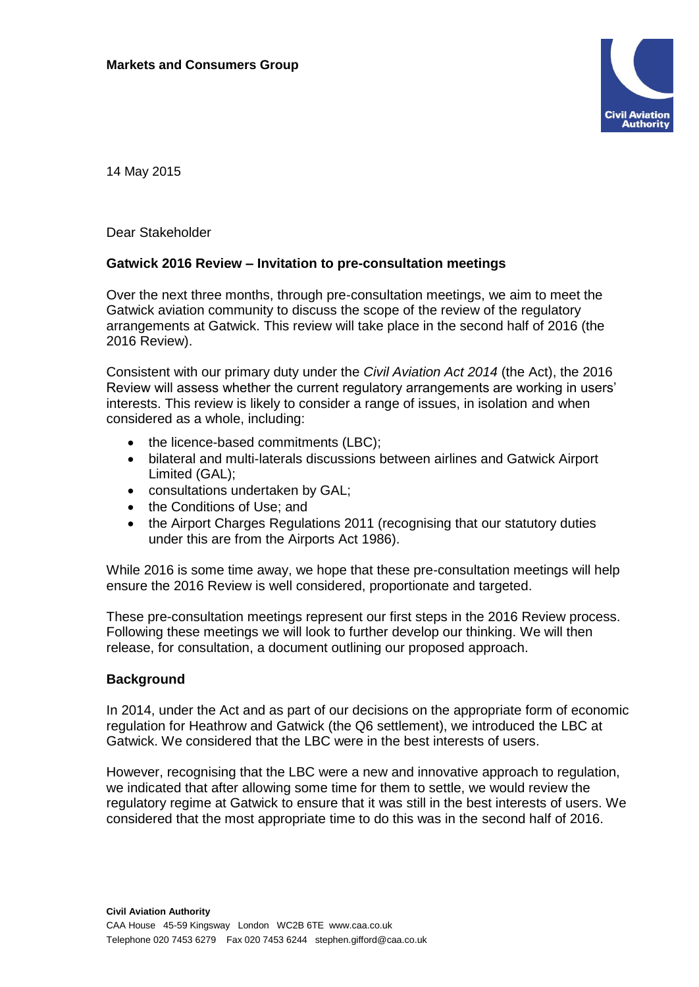

14 May 2015

Dear Stakeholder

## **Gatwick 2016 Review – Invitation to pre-consultation meetings**

Over the next three months, through pre-consultation meetings, we aim to meet the Gatwick aviation community to discuss the scope of the review of the regulatory arrangements at Gatwick. This review will take place in the second half of 2016 (the 2016 Review).

Consistent with our primary duty under the *Civil Aviation Act 2014* (the Act), the 2016 Review will assess whether the current regulatory arrangements are working in users' interests. This review is likely to consider a range of issues, in isolation and when considered as a whole, including:

- the licence-based commitments (LBC);
- bilateral and multi-laterals discussions between airlines and Gatwick Airport Limited (GAL);
- consultations undertaken by GAL;
- the Conditions of Use; and
- the Airport Charges Regulations 2011 (recognising that our statutory duties under this are from the Airports Act 1986).

While 2016 is some time away, we hope that these pre-consultation meetings will help ensure the 2016 Review is well considered, proportionate and targeted.

These pre-consultation meetings represent our first steps in the 2016 Review process. Following these meetings we will look to further develop our thinking. We will then release, for consultation, a document outlining our proposed approach.

## **Background**

In 2014, under the Act and as part of our decisions on the appropriate form of economic regulation for Heathrow and Gatwick (the Q6 settlement), we introduced the LBC at Gatwick. We considered that the LBC were in the best interests of users.

However, recognising that the LBC were a new and innovative approach to regulation, we indicated that after allowing some time for them to settle, we would review the regulatory regime at Gatwick to ensure that it was still in the best interests of users. We considered that the most appropriate time to do this was in the second half of 2016.